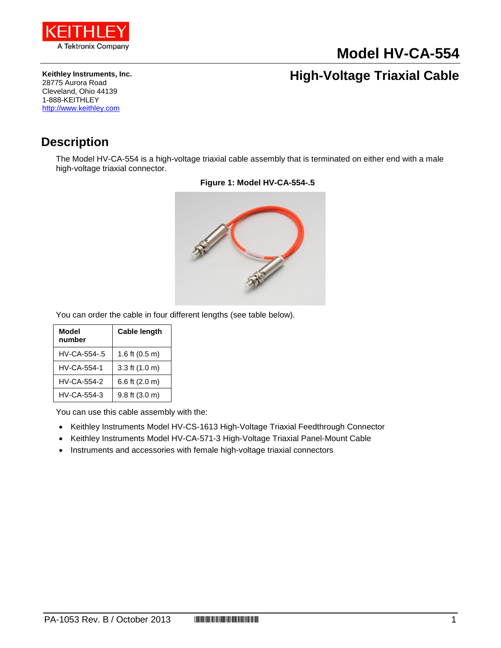

# **Model HV-CA-554**

**Keithley Instruments, Inc.** 28775 Aurora Road Cleveland, Ohio 44139 1-888-KEITHLEY [http://www.keithley.com](http://www.keithley.com/)

## **High-Voltage Triaxial Cable**

### **Description**

The Model HV-CA-554 is a high-voltage triaxial cable assembly that is terminated on either end with a male high-voltage triaxial connector.



#### **Figure 1: Model HV-CA-554-.5**

You can order the cable in four different lengths (see table below).

| Model<br>number | <b>Cable length</b>        |
|-----------------|----------------------------|
| HV-CA-554-.5    | 1.6 ft $(0.5 \text{ m})$   |
| HV-CA-554-1     | 3.3 ft (1.0 m)             |
| HV-CA-554-2     | 6.6 ft (2.0 m)             |
| HV-CA-554-3     | $9.8$ ft $(3.0 \text{ m})$ |

You can use this cable assembly with the:

- Keithley Instruments Model HV-CS-1613 High-Voltage Triaxial Feedthrough Connector
- Keithley Instruments Model HV-CA-571-3 High-Voltage Triaxial Panel-Mount Cable
- Instruments and accessories with female high-voltage triaxial connectors